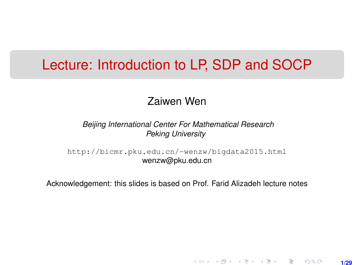#### Lecture: Introduction to LP, SDP and SOCP

#### Zaiwen Wen

#### *Beijing International Center For Mathematical Research Peking University*

[http://bicmr.pku.edu.cn/~wenzw/bigdata2015.html](http://bicmr.pku.edu.cn/~wenzw/bigdata2015.html ) wenzw@pku.edu.cn

Acknowledgement: this slides is based on Prof. Farid Alizadeh lecture notes

**1/29**

K ロ ▶ K 레 ▶ K 회 ▶ K 회 ▶ │ 회 │ ⊙ Q Q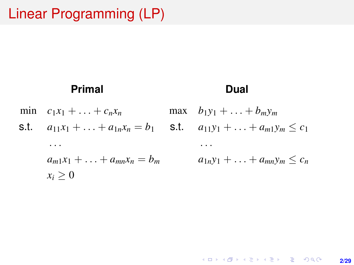# Linear Programming (LP)

#### **Primal**

#### **Dual**

min  $c_1x_1 + ... + c_nx_n$ s.t.  $a_{11}x_1 + \ldots + a_{1n}x_n = b_1$ . . .  $a_{m1}x_1 + \ldots + a_{mn}x_n = b_m$  $x_i > 0$ max  $b_1y_1 + ... + b_my_m$ **s.t.**  $a_{11}y_1 + \ldots + a_{m1}y_m \leq c_1$ . . .  $a_{1n}v_1 + \ldots + a_{mn}v_m \leq c_n$ 

> **KOD KAD KED KED E YOUR 2/29**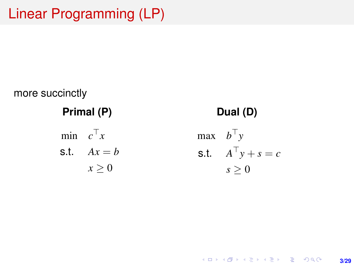# Linear Programming (LP)



**KOD KAD KED KED E YOUR 3/29**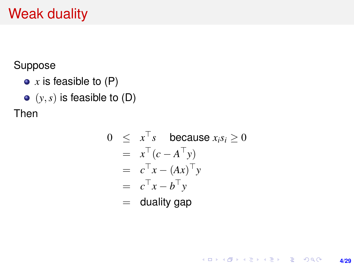# Weak duality

Suppose

- *x* is feasible to (P)
- $\bullet$   $(y, s)$  is feasible to  $(D)$

Then

$$
0 \leq x^{\top} s \text{ because } x_i s_i \geq 0
$$
  
=  $x^{\top} (c - A^{\top} y)$   
=  $c^{\top} x - (Ax)^{\top} y$   
=  $c^{\top} x - b^{\top} y$   
= duality gap

**4/29**

K ロ ▶ K @ ▶ K 할 > K 할 > 1 할 > 1 이익어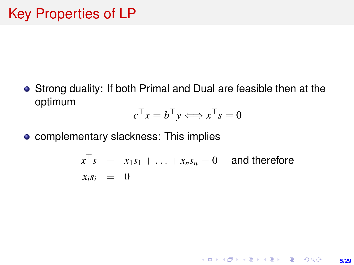Strong duality: If both Primal and Dual are feasible then at the optimum

$$
c^{\top} x = b^{\top} y \Longleftrightarrow x^{\top} s = 0
$$

**•** complementary slackness: This implies

$$
x^{\top} s = x_1 s_1 + \ldots + x_n s_n = 0
$$
 and therefore  

$$
x_i s_i = 0
$$

**5/29**

**KORKARK (EXIST) E MOOR**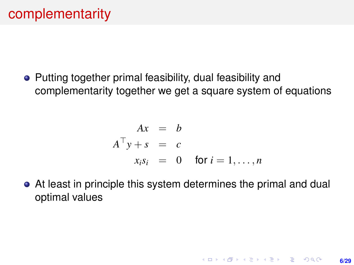• Putting together primal feasibility, dual feasibility and complementarity together we get a square system of equations

$$
Ax = b
$$
  
\n
$$
A^{\top}y + s = c
$$
  
\n
$$
x_i s_i = 0 \text{ for } i = 1, ..., n
$$

At least in principle this system determines the primal and dual optimal values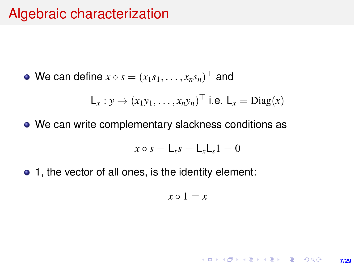#### Algebraic characterization

We can define  $x \circ s = (x_1 s_1, \ldots, x_n s_n)^\top$  and

$$
\mathsf{L}_x : y \to (x_1y_1, \dots, x_ny_n)^\top \text{ i.e. } \mathsf{L}_x = \text{Diag}(x)
$$

We can write complementary slackness conditions as

$$
x \circ s = \mathsf{L}_x s = \mathsf{L}_x \mathsf{L}_s 1 = 0
$$

• 1, the vector of all ones, is the identity element:

$$
x \circ 1 = x
$$

KO KKO KARA VE KARA **7/29**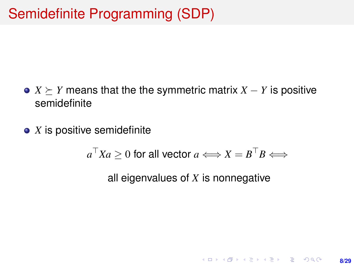- $X \succeq Y$  means that the the symmetric matrix  $X Y$  is positive semidefinite
- *X* is positive semidefinite

$$
a^{\top}Xa \ge 0 \text{ for all vector } a \Longleftrightarrow X = B^{\top}B \Longleftrightarrow
$$

all eigenvalues of *X* is nonnegative

**8/29**

**KORKARK (EXIST) E MOOR**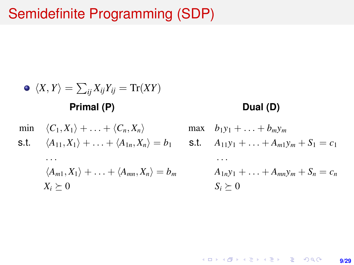## Semidefinite Programming (SDP)

\n- \n
$$
\langle X, Y \rangle = \sum_{ij} X_{ij} Y_{ij} = \text{Tr}(XY)
$$
\n
\n- \n**Primal (P)**\n
\n- \n $\langle C_1, X_1 \rangle + \ldots + \langle C_n, X_n \rangle$ \n
\n- \n**S.t.**\n $\langle A_{11}, X_1 \rangle + \ldots + \langle A_{1n}, X_n \rangle = b_1$ \n
\n- \n**S.t.**\n $\langle A_{11}, X_1 \rangle + \ldots + \langle A_{1n}, X_n \rangle = b_1$ \n
\n- \n**S.t.**\n $\langle A_{11}, X_1 \rangle + \ldots + \langle A_{mn}, X_n \rangle = b_m$ \n
\n- \n $\langle A_{1n}, X_1 \rangle + \ldots + \langle A_{mn}, X_n \rangle = b_m$ \n
\n- \n $A_{1n} y_1 + \ldots + A_{mn} y_m + S_n = c_n$ \n
\n- \n $S_i \geq 0$ \n
\n

**9/29**

KO K KOKK KE K KE K GE KORO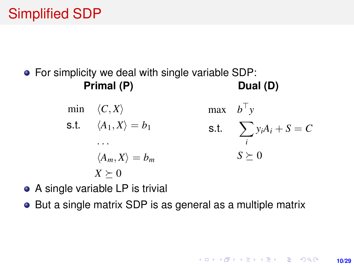# Simplified SDP

For simplicity we deal with single variable SDP: **Primal (P) Dual (D)**

> min  $\langle C, X \rangle$ s.t.  $\langle A_1, X \rangle = b_1$ . . .  $\langle A_m, X \rangle = b_m$  $X \succeq 0$ max  $b^{\top}y$ s.t.  $\sum$ *i*  $y_iA_i + S = C$  $S \succeq 0$

- A single variable LP is trivial
- But a single matrix SDP is as general as a multiple matrix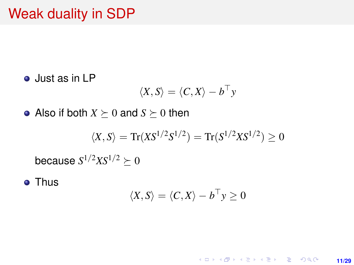### Weak duality in SDP

Just as in LP

$$
\langle X, S \rangle = \langle C, X \rangle - b^{\top} y
$$

• Also if both  $X \succeq 0$  and  $S \succeq 0$  then

$$
\langle X,S\rangle=\text{Tr}(X S^{1/2}S^{1/2})=\text{Tr}(S^{1/2}X S^{1/2})\geq 0
$$

because  $S^{1/2} X S^{1/2} \succeq 0$ 

**• Thus** 

$$
\langle X, S \rangle = \langle C, X \rangle - b^{\top} y \ge 0
$$

K ロ ▶ K @ ▶ K 할 ▶ K 할 ▶ 이 할 → 9 Q @ **11/29**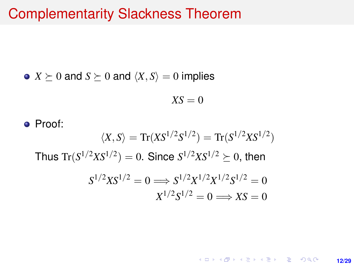#### Complementarity Slackness Theorem

• 
$$
X \succeq 0
$$
 and  $S \succeq 0$  and  $\langle X, S \rangle = 0$  implies

$$
X S = 0
$$

• Proof:  $\langle X, S \rangle = \text{Tr}(X S^{1/2} S^{1/2}) = \text{Tr}(S^{1/2} X S^{1/2})$ Thus  $\text{Tr}(S^{1/2}XS^{1/2}) = 0$ . Since  $S^{1/2}XS^{1/2} \succeq 0$ , then  $S^{1/2}XS^{1/2} = 0 \Longrightarrow S^{1/2}X^{1/2}X^{1/2}S^{1/2} = 0$  $X^{1/2}S^{1/2} = 0 \Longrightarrow XS = 0$ 

> KO KARK KEK LE KORA **12/29**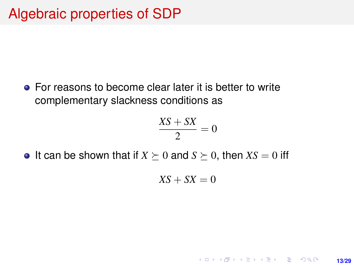• For reasons to become clear later it is better to write complementary slackness conditions as

$$
\frac{XS+SX}{2}=0
$$

• It can be shown that if  $X \succeq 0$  and  $S \succeq 0$ , then  $XS = 0$  iff

$$
XS+SX=0
$$

**13/29**

**KORKARK KERKER DRAM**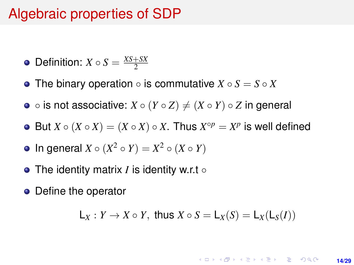### Algebraic properties of SDP

• Definition: 
$$
X \circ S = \frac{XS + SX}{2}
$$

- The binary operation is commutative *X S* = *S X*
- $\circ$  is not associative:  $X \circ (Y \circ Z) \neq (X \circ Y) \circ Z$  in general
- But  $X \circ (X \circ X) = (X \circ X) \circ X$ . Thus  $X^{\circ p} = X^p$  is well defined
- In general  $X \circ (X^2 \circ Y) = X^2 \circ (X \circ Y)$
- The identity matrix *I* is identity w.r.t ◦
- Define the operator

$$
L_X: Y \to X \circ Y, \text{ thus } X \circ S = L_X(S) = L_X(L_S(I))
$$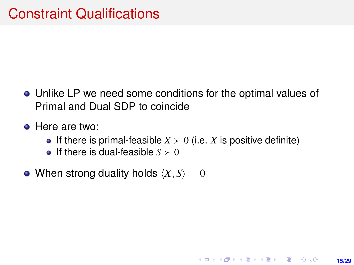- Unlike LP we need some conditions for the optimal values of Primal and Dual SDP to coincide
- **•** Here are two:
	- If there is primal-feasible  $X \succ 0$  (i.e. X is positive definite)

**15/29**

KO KARK KEK LE KORA

- **•** If there is dual-feasible  $S \succ 0$
- When strong duality holds  $\langle X, S \rangle = 0$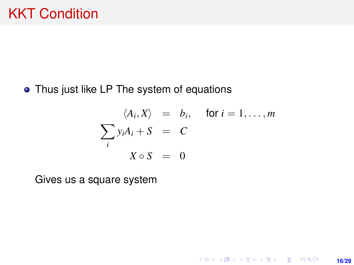#### • Thus just like LP The system of equations

$$
\langle A_i, X \rangle = b_i, \quad \text{for } i = 1, \dots, m
$$

$$
\sum_i y_i A_i + S = C
$$

$$
X \circ S = 0
$$

**16/29**

K ロ ▶ K @ ▶ K 할 ▶ K 할 ▶ 이 할 → 9 Q @

Gives us a square system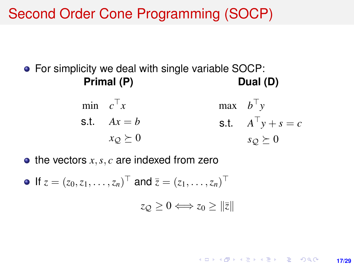Second Order Cone Programming (SOCP)

● For simplicity we deal with single variable SOCP: **Primal (P) Dual (D)**

> min  $c^{\top}x$  $s.t.$   $Ax = b$  $x_Q \succeq 0$  $max$   $b^{\top}y$ s.t.  $A^{\top}y + s = c$  $s_Q \succeq 0$

> > **17/29**

**KORKARK A BIK BIKA A GA A GA A GA A BIKA A BIKA A BIKA A BIKA A BIKA A BIKA A BIKA A BIKA A BIKA A BIKA A BIKA** 

 $\bullet$  the vectors  $x, s, c$  are indexed from zero

If  $z = (z_0, z_1, \dots, z_n)^\top$  and  $\overline{z} = (z_1, \dots, z_n)^\top$  $z_{\mathcal{O}} > 0 \Longleftrightarrow z_{\mathcal{O}} > ||\overline{z}||$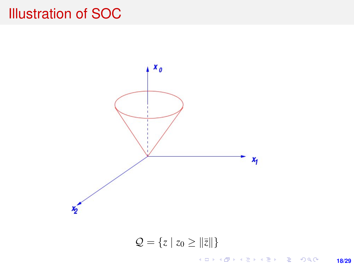## Illustration of SOC



 $Q = \{z \mid z_0 \geq ||\bar{z}||\}$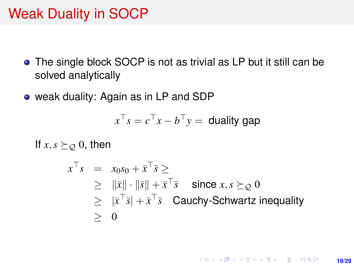## Weak Duality in SOCP

- The single block SOCP is not as trivial as LP but it still can be solved analytically
- weak duality: Again as in LP and SDP

$$
x^{\top} s = c^{\top} x - b^{\top} y =
$$
 duality gap

If  $x, s \succeq_{\mathcal{Q}} 0$ , then

$$
x^{\top} s = x_0 s_0 + \bar{x}^{\top} \bar{s} \ge
$$
  
\n
$$
\geq \|\bar{x}\| \cdot \|\bar{s}\| + \bar{x}^{\top} \bar{s} \quad \text{since } x, s \succeq_{\mathcal{Q}} 0
$$
  
\n
$$
\geq |\bar{x}^{\top} \bar{s}| + \bar{x}^{\top} \bar{s} \quad \text{Cauchy-Schwartz inequality}
$$
  
\n
$$
\geq 0
$$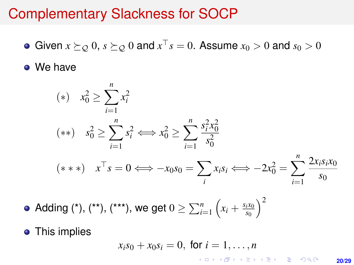#### Complementary Slackness for SOCP

Given  $x \succeq_{\mathcal{Q}} 0$ ,  $s \succeq_{\mathcal{Q}} 0$  and  $x^{\top} s = 0$ . Assume  $x_0 > 0$  and  $s_0 > 0$ 

• We have

(\*) 
$$
x_0^2 \ge \sum_{i=1}^n x_i^2
$$
  
\n(\*\*)  $s_0^2 \ge \sum_{i=1}^n s_i^2 \iff x_0^2 \ge \sum_{i=1}^n \frac{s_i^2 x_0^2}{s_0^2}$   
\n(\*\*\*)  $x^\top s = 0 \iff -x_0 s_0 = \sum_i x_i s_i \iff -2x_0^2 = \sum_{i=1}^n \frac{2x_i s_i x_0}{s_0}$ 

Adding (\*), (\*\*), (\*\*\*), we get  $0 \ge \sum_{i=1}^n\left(x_i+\frac{s_i x_0}{s_0}\right)$ *s*0  $\chi^2$ 

• This implies

$$
x_i s_0 + x_0 s_i = 0, \text{ for } i = 1, \ldots, n
$$

**20/29**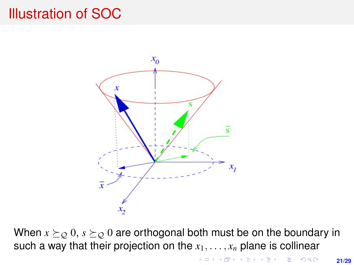## Illustration of SOC



When  $x \succeq_{\mathcal{Q}} 0$ ,  $s \succeq_{\mathcal{Q}} 0$  are orthogonal both must be on the boundary in such a way that their projection on the  $x_1, \ldots, x_n$  plane is collinear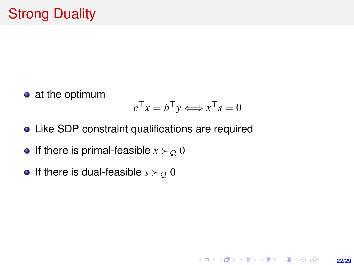• at the optimum

$$
c^{\top} x = b^{\top} y \Longleftrightarrow x^{\top} s = 0
$$

**22/29**

K ロ ▶ K @ ▶ K 할 ▶ K 할 ▶ ... 할 → 9 Q @

- Like SDP constraint qualifications are required
- If there is primal-feasible  $x \succ o 0$
- If there is dual-feasible  $s \succ_{\mathcal{Q}} 0$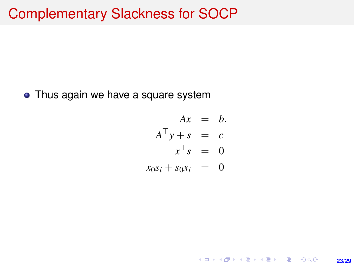#### Complementary Slackness for SOCP

• Thus again we have a square system

$$
Ax = b,
$$
  
\n
$$
A^{\top}y + s = c
$$
  
\n
$$
x^{\top} s = 0
$$
  
\n
$$
x_0 s_i + s_0 x_i = 0
$$

**23/29**

K ロ ▶ K @ ▶ K 할 ▶ K 할 ▶ 이 할 → 9 Q @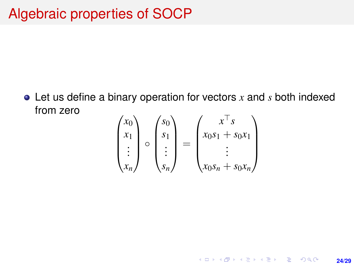Let us define a binary operation for vectors *x* and *s* both indexed from zero

$$
\begin{pmatrix} x_0 \\ x_1 \\ \vdots \\ x_n \end{pmatrix} \circ \begin{pmatrix} s_0 \\ s_1 \\ \vdots \\ s_n \end{pmatrix} = \begin{pmatrix} x^{\top} s \\ x_0 s_1 + s_0 x_1 \\ \vdots \\ x_0 s_n + s_0 x_n \end{pmatrix}
$$

**24/29**

K ロ ▶ K @ ▶ K 할 ▶ K 할 ▶ ... 할 → 9 Q @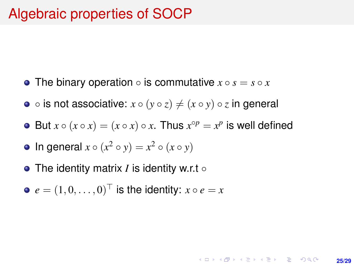- The binary operation  $\circ$  is commutative  $x \circ s = s \circ x$
- $\circ$  is not associative:  $x \circ (y \circ z) \neq (x \circ y) \circ z$  in general
- But  $x \circ (x \circ x) = (x \circ x) \circ x$ . Thus  $x^{\circ p} = x^p$  is well defined

**25/29**

**KORKARK KERKER DRAM** 

- In general  $x \circ (x^2 \circ y) = x^2 \circ (x \circ y)$
- The identity matrix *I* is identity w.r.t ◦

• 
$$
e = (1, 0, \dots, 0)^{\top}
$$
 is the identity:  $x \circ e = x$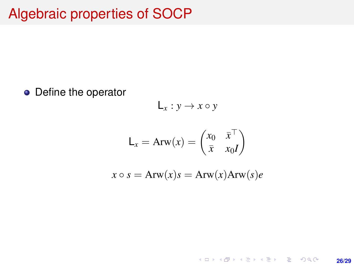## Algebraic properties of SOCP

• Define the operator

$$
L_x: y \to x \circ y
$$

$$
\mathsf{L}_x = \mathrm{Arw}(x) = \begin{pmatrix} x_0 & \bar{x}^\top \\ \bar{x} & x_0 \end{pmatrix}
$$

$$
x \circ s = \text{Arw}(x)s = \text{Arw}(x)\text{Arw}(s)e
$$

K ロ X (日) X (日) X (日) X (日) X (日) X (日) X (日) X (日) X (日) X (日) X (日) **26/29**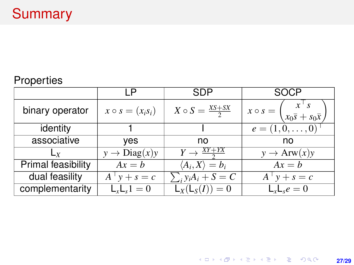#### Properties

|                    |                          | SDP                             | SOCP                                                                                   |
|--------------------|--------------------------|---------------------------------|----------------------------------------------------------------------------------------|
| binary operator    | $x \circ s = (x_i s_i)$  | $X \circ S = \frac{XS + SX}{2}$ | $x \circ s = \begin{pmatrix} x^s \\ x_0 \overline{s} + s_0 \overline{x} \end{pmatrix}$ |
| identity           |                          |                                 | $e = (1, 0, \ldots, 0)$                                                                |
| associative        | yes                      | no                              | no                                                                                     |
| $L_y$              | $y \rightarrow Diag(x)y$ | $Y \rightarrow \frac{XY+YX}{Y}$ | $y \rightarrow Arw(x)y$                                                                |
| Primal feasibility | $Ax = b$                 | $\langle A_i, X \rangle = b_i$  | $Ax = b$                                                                               |
| dual feasility     | $A^{T} y + s = c$        | $\sum_i y_i A_i + S = C$        | $A^{\dagger} y + s = c$                                                                |
| complementarity    | $L_xL_s1=0$              | $L_X(L_S(I)) = 0$               | $L_xL_se=0$                                                                            |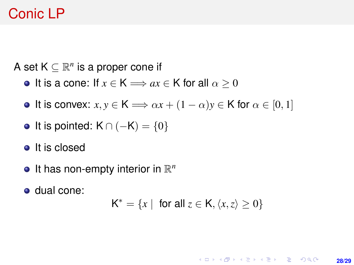# Conic LP

A set  $K \subseteq \mathbb{R}^n$  is a proper cone if

- It is a cone: If  $x \in K \Longrightarrow ax \in K$  for all  $\alpha \geq 0$
- **It is convex:**  $x, y \in K \implies \alpha x + (1 \alpha)y \in K$  for  $\alpha \in [0, 1]$
- It is pointed:  $K \cap (-K) = \{0\}$
- It is closed
- It has non-empty interior in R *n*
- dual cone:

 $K^* = \{x \mid \text{ for all } z \in K, \langle x, z \rangle \geq 0\}$ 

**KORKARK KERKER DRAM 28/29**